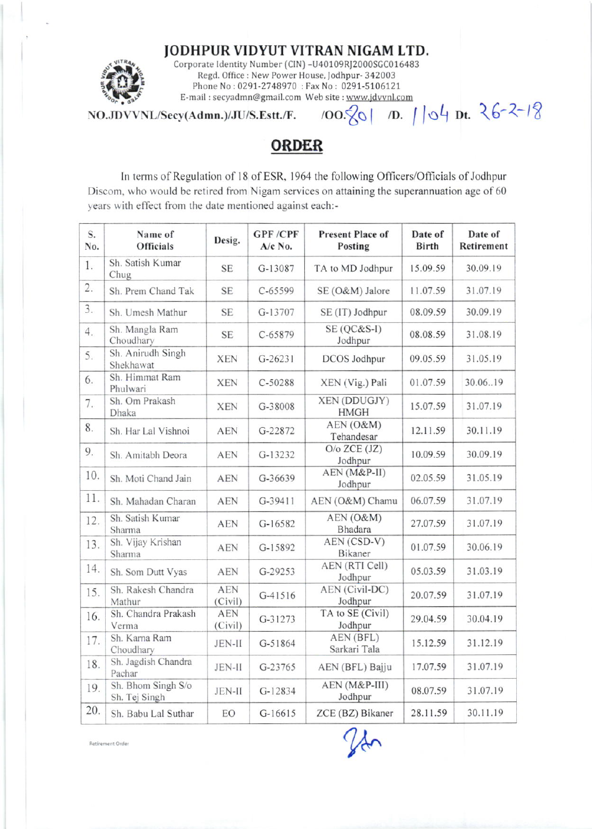JODHPUR VIDYUT VITRAN NIGAM LTD.



Corporate Identity Number (CIN) -U40109RJ2000SGC016483 Regd. Office : New Power House, Jodhpur- 342003 Phone No: 0291-2748970 : Fax No: 0291-5106121 E-mail: secyadmn@gmail.com Web site: www.jdvvnl.com

 $\overline{N}$ O.JDVVNL/Secy(Admn.)/JU/S.Estt./F. /OO. $\sqrt{8}$ | *D.* 104 Dt.  $26-2-18$ 

**ORDER** 

In terms of Regulation of 18 of ESR, 1964 the following Officers/Officials of Jodhpur Discom. who would be retired from Nigam services on attaining the superannuation age of 60 years with effect from the date mentioned against each:-

| S.<br>No. | Name of<br><b>Officials</b>         | Desig.                | <b>GPF/CPF</b><br>$A/c$ No. | <b>Present Place of</b><br>Posting | Date of<br><b>Birth</b> | Date of<br>Retirement |
|-----------|-------------------------------------|-----------------------|-----------------------------|------------------------------------|-------------------------|-----------------------|
| 1.        | Sh. Satish Kumar<br>Chug            | <b>SE</b>             | G-13087                     | TA to MD Jodhpur                   | 15.09.59                | 30.09.19              |
| 2.        | Sh. Prem Chand Tak                  | <b>SE</b>             | $C - 65599$                 | SE (O&M) Jalore                    | 11.07.59                | 31.07.19              |
| 3.        | Sh. Umesh Mathur                    | <b>SE</b>             | G-13707                     | SE (IT) Jodhpur                    | 08.09.59                | 30.09.19              |
| 4.        | Sh. Mangla Ram<br>Choudhary         | <b>SE</b>             | $C - 65879$                 | SE (QC&S-I)<br>Jodhpur             | 08.08.59                | 31.08.19              |
| 5.        | Sh. Anirudh Singh<br>Shekhawat      | <b>XEN</b>            | $G-26231$                   | <b>DCOS</b> Jodhpur                | 09.05.59                | 31.05.19              |
| 6.        | Sh. Himmat Ram<br>Phulwari          | <b>XEN</b>            | C-50288                     | XEN (Vig.) Pali                    | 01.07.59                | 30.06.19              |
| 7.        | Sh. Om Prakash<br>Dhaka             | <b>XEN</b>            | G-38008                     | XEN (DDUGJY)<br><b>HMGH</b>        | 15.07.59                | 31.07.19              |
| 8.        | Sh. Har Lal Vishnoi                 | <b>AEN</b>            | G-22872                     | AEN (O&M)<br>Tehandesar            | 12.11.59                | 30.11.19              |
| 9.        | Sh. Amitabh Deora                   | <b>AEN</b>            | G-13232                     | $O/O$ ZCE $(JZ)$<br>Jodhpur        | 10.09.59                | 30.09.19              |
| 10.       | Sh. Moti Chand Jain                 | <b>AEN</b>            | G-36639                     | AEN (M&P-II)<br>Jodhpur            | 02.05.59                | 31.05.19              |
| 11.       | Sh. Mahadan Charan                  | <b>AEN</b>            | G-39411                     | AEN (O&M) Chamu                    | 06.07.59                | 31.07.19              |
| 12.       | Sh. Satish Kumar<br>Sharma          | <b>AEN</b>            | $G-16582$                   | AEN (O&M)<br><b>Bhadara</b>        | 27.07.59                | 31.07.19              |
| 13.       | Sh. Vijay Krishan<br>Sharma         | <b>AEN</b>            | G-15892                     | AEN (CSD-V)<br>Bikaner             | 01.07.59                | 30.06.19              |
| 14.       | Sh. Som Dutt Vyas                   | <b>AEN</b>            | G-29253                     | AEN (RTI Cell)<br>Jodhpur          | 05.03.59                | 31.03.19              |
| 15.       | Sh. Rakesh Chandra<br>Mathur        | <b>AEN</b><br>(Civil) | $G-41516$                   | AEN (Civil-DC)<br>Jodhpur          | 20.07.59                | 31.07.19              |
| 16.       | Sh. Chandra Prakash<br>Verma        | <b>AEN</b><br>(Civil) | G-31273                     | TA to SE (Civil)<br>Jodhpur        | 29.04.59                | 30.04.19              |
| 17.       | Sh. Karna Ram<br>Choudhary          | <b>JEN-II</b>         | G-51864                     | AEN (BFL)<br>Sarkari Tala          | 15.12.59                | 31.12.19              |
| 18.       | Sh. Jagdish Chandra<br>Pachar       | JEN-II                | G-23765                     | AEN (BFL) Bajju                    | 17.07.59                | 31.07.19              |
| 19.       | Sh. Bhom Singh S/o<br>Sh. Tej Singh | <b>JEN-II</b>         | G-12834                     | AEN (M&P-III)<br>Jodhpur           | 08.07.59                | 31.07.19              |
| 20.       | Sh. Babu Lal Suthar                 | EO                    | G-16615                     | ZCE (BZ) Bikaner                   | 28.11.59                | 30.11.19              |

Retirement Order

ffer